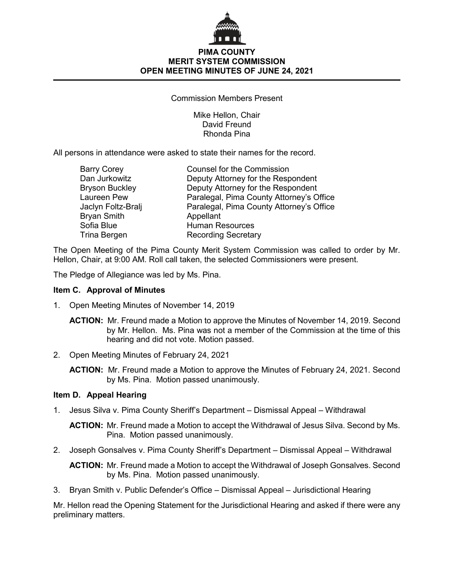

Commission Members Present

Mike Hellon, Chair David Freund Rhonda Pina

All persons in attendance were asked to state their names for the record.

| <b>Barry Corey</b>    | <b>Counsel for the Commission</b>        |
|-----------------------|------------------------------------------|
| Dan Jurkowitz         | Deputy Attorney for the Respondent       |
| <b>Bryson Buckley</b> | Deputy Attorney for the Respondent       |
| Laureen Pew           | Paralegal, Pima County Attorney's Office |
| Jaclyn Foltz-Bralj    | Paralegal, Pima County Attorney's Office |
| <b>Bryan Smith</b>    | Appellant                                |
| Sofia Blue            | <b>Human Resources</b>                   |
| Trina Bergen          | <b>Recording Secretary</b>               |

The Open Meeting of the Pima County Merit System Commission was called to order by Mr. Hellon, Chair, at 9:00 AM. Roll call taken, the selected Commissioners were present.

The Pledge of Allegiance was led by Ms. Pina.

## **Item C. Approval of Minutes**

1. Open Meeting Minutes of November 14, 2019

**ACTION:** Mr. Freund made a Motion to approve the Minutes of November 14, 2019. Second by Mr. Hellon. Ms. Pina was not a member of the Commission at the time of this hearing and did not vote. Motion passed.

2. Open Meeting Minutes of February 24, 2021

**ACTION:** Mr. Freund made a Motion to approve the Minutes of February 24, 2021. Second by Ms. Pina. Motion passed unanimously.

## **Item D. Appeal Hearing**

1. Jesus Silva v. Pima County Sheriff's Department – Dismissal Appeal – Withdrawal

**ACTION:** Mr. Freund made a Motion to accept the Withdrawal of Jesus Silva. Second by Ms. Pina. Motion passed unanimously.

2. Joseph Gonsalves v. Pima County Sheriff's Department – Dismissal Appeal – Withdrawal

**ACTION:** Mr. Freund made a Motion to accept the Withdrawal of Joseph Gonsalves. Second by Ms. Pina. Motion passed unanimously.

3. Bryan Smith v. Public Defender's Office – Dismissal Appeal – Jurisdictional Hearing

Mr. Hellon read the Opening Statement for the Jurisdictional Hearing and asked if there were any preliminary matters.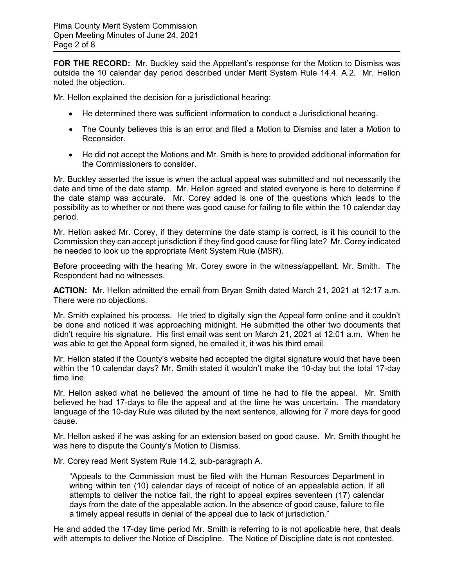**FOR THE RECORD:** Mr. Buckley said the Appellant's response for the Motion to Dismiss was outside the 10 calendar day period described under Merit System Rule 14.4. A.2. Mr. Hellon noted the objection.

Mr. Hellon explained the decision for a jurisdictional hearing:

- He determined there was sufficient information to conduct a Jurisdictional hearing.
- The County believes this is an error and filed a Motion to Dismiss and later a Motion to Reconsider.
- He did not accept the Motions and Mr. Smith is here to provided additional information for the Commissioners to consider.

Mr. Buckley asserted the issue is when the actual appeal was submitted and not necessarily the date and time of the date stamp. Mr. Hellon agreed and stated everyone is here to determine if the date stamp was accurate. Mr. Corey added is one of the questions which leads to the possibility as to whether or not there was good cause for failing to file within the 10 calendar day period.

Mr. Hellon asked Mr. Corey, if they determine the date stamp is correct, is it his council to the Commission they can accept jurisdiction if they find good cause for filing late? Mr. Corey indicated he needed to look up the appropriate Merit System Rule (MSR).

Before proceeding with the hearing Mr. Corey swore in the witness/appellant, Mr. Smith. The Respondent had no witnesses.

**ACTION:** Mr. Hellon admitted the email from Bryan Smith dated March 21, 2021 at 12:17 a.m. There were no objections.

Mr. Smith explained his process. He tried to digitally sign the Appeal form online and it couldn't be done and noticed it was approaching midnight. He submitted the other two documents that didn't require his signature. His first email was sent on March 21, 2021 at 12:01 a.m. When he was able to get the Appeal form signed, he emailed it, it was his third email.

Mr. Hellon stated if the County's website had accepted the digital signature would that have been within the 10 calendar days? Mr. Smith stated it wouldn't make the 10-day but the total 17-day time line.

Mr. Hellon asked what he believed the amount of time he had to file the appeal. Mr. Smith believed he had 17-days to file the appeal and at the time he was uncertain. The mandatory language of the 10-day Rule was diluted by the next sentence, allowing for 7 more days for good cause.

Mr. Hellon asked if he was asking for an extension based on good cause. Mr. Smith thought he was here to dispute the County's Motion to Dismiss.

Mr. Corey read Merit System Rule 14.2, sub-paragraph A.

"Appeals to the Commission must be filed with the Human Resources Department in writing within ten (10) calendar days of receipt of notice of an appealable action. If all attempts to deliver the notice fail, the right to appeal expires seventeen (17) calendar days from the date of the appealable action. In the absence of good cause, failure to file a timely appeal results in denial of the appeal due to lack of jurisdiction."

He and added the 17-day time period Mr. Smith is referring to is not applicable here, that deals with attempts to deliver the Notice of Discipline. The Notice of Discipline date is not contested.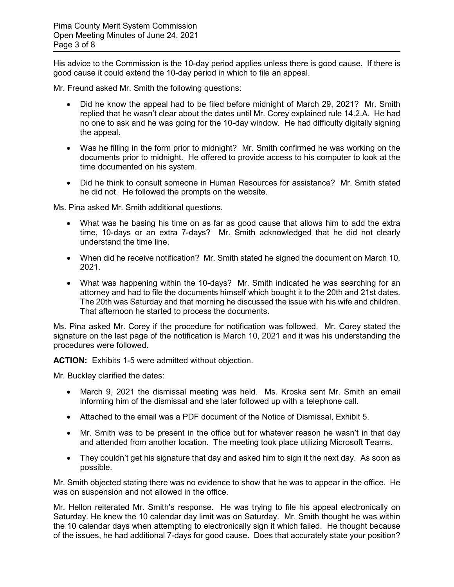His advice to the Commission is the 10-day period applies unless there is good cause. If there is good cause it could extend the 10-day period in which to file an appeal.

Mr. Freund asked Mr. Smith the following questions:

- Did he know the appeal had to be filed before midnight of March 29, 2021? Mr. Smith replied that he wasn't clear about the dates until Mr. Corey explained rule 14.2.A. He had no one to ask and he was going for the 10-day window. He had difficulty digitally signing the appeal.
- Was he filling in the form prior to midnight? Mr. Smith confirmed he was working on the documents prior to midnight. He offered to provide access to his computer to look at the time documented on his system.
- Did he think to consult someone in Human Resources for assistance? Mr. Smith stated he did not. He followed the prompts on the website.

Ms. Pina asked Mr. Smith additional questions.

- What was he basing his time on as far as good cause that allows him to add the extra time, 10-days or an extra 7-days? Mr. Smith acknowledged that he did not clearly understand the time line.
- When did he receive notification? Mr. Smith stated he signed the document on March 10, 2021.
- What was happening within the 10-days? Mr. Smith indicated he was searching for an attorney and had to file the documents himself which bought it to the 20th and 21st dates. The 20th was Saturday and that morning he discussed the issue with his wife and children. That afternoon he started to process the documents.

Ms. Pina asked Mr. Corey if the procedure for notification was followed. Mr. Corey stated the signature on the last page of the notification is March 10, 2021 and it was his understanding the procedures were followed.

**ACTION:** Exhibits 1-5 were admitted without objection.

Mr. Buckley clarified the dates:

- March 9, 2021 the dismissal meeting was held. Ms. Kroska sent Mr. Smith an email informing him of the dismissal and she later followed up with a telephone call.
- Attached to the email was a PDF document of the Notice of Dismissal, Exhibit 5.
- Mr. Smith was to be present in the office but for whatever reason he wasn't in that day and attended from another location. The meeting took place utilizing Microsoft Teams.
- They couldn't get his signature that day and asked him to sign it the next day. As soon as possible.

Mr. Smith objected stating there was no evidence to show that he was to appear in the office. He was on suspension and not allowed in the office.

Mr. Hellon reiterated Mr. Smith's response. He was trying to file his appeal electronically on Saturday. He knew the 10 calendar day limit was on Saturday. Mr. Smith thought he was within the 10 calendar days when attempting to electronically sign it which failed. He thought because of the issues, he had additional 7-days for good cause. Does that accurately state your position?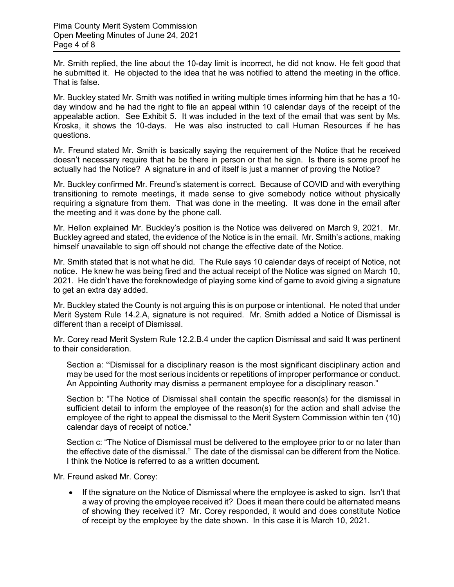Mr. Smith replied, the line about the 10-day limit is incorrect, he did not know. He felt good that he submitted it. He objected to the idea that he was notified to attend the meeting in the office. That is false.

Mr. Buckley stated Mr. Smith was notified in writing multiple times informing him that he has a 10 day window and he had the right to file an appeal within 10 calendar days of the receipt of the appealable action. See Exhibit 5. It was included in the text of the email that was sent by Ms. Kroska, it shows the 10-days. He was also instructed to call Human Resources if he has questions.

Mr. Freund stated Mr. Smith is basically saying the requirement of the Notice that he received doesn't necessary require that he be there in person or that he sign. Is there is some proof he actually had the Notice? A signature in and of itself is just a manner of proving the Notice?

Mr. Buckley confirmed Mr. Freund's statement is correct. Because of COVID and with everything transitioning to remote meetings, it made sense to give somebody notice without physically requiring a signature from them. That was done in the meeting. It was done in the email after the meeting and it was done by the phone call.

Mr. Hellon explained Mr. Buckley's position is the Notice was delivered on March 9, 2021. Mr. Buckley agreed and stated, the evidence of the Notice is in the email. Mr. Smith's actions, making himself unavailable to sign off should not change the effective date of the Notice.

Mr. Smith stated that is not what he did. The Rule says 10 calendar days of receipt of Notice, not notice. He knew he was being fired and the actual receipt of the Notice was signed on March 10, 2021. He didn't have the foreknowledge of playing some kind of game to avoid giving a signature to get an extra day added.

Mr. Buckley stated the County is not arguing this is on purpose or intentional. He noted that under Merit System Rule 14.2.A, signature is not required. Mr. Smith added a Notice of Dismissal is different than a receipt of Dismissal.

Mr. Corey read Merit System Rule 12.2.B.4 under the caption Dismissal and said It was pertinent to their consideration.

Section a: "Dismissal for a disciplinary reason is the most significant disciplinary action and may be used for the most serious incidents or repetitions of improper performance or conduct. An Appointing Authority may dismiss a permanent employee for a disciplinary reason."

Section b: "The Notice of Dismissal shall contain the specific reason(s) for the dismissal in sufficient detail to inform the employee of the reason(s) for the action and shall advise the employee of the right to appeal the dismissal to the Merit System Commission within ten (10) calendar days of receipt of notice."

Section c: "The Notice of Dismissal must be delivered to the employee prior to or no later than the effective date of the dismissal." The date of the dismissal can be different from the Notice. I think the Notice is referred to as a written document.

Mr. Freund asked Mr. Corey:

• If the signature on the Notice of Dismissal where the employee is asked to sign. Isn't that a way of proving the employee received it? Does it mean there could be alternated means of showing they received it? Mr. Corey responded, it would and does constitute Notice of receipt by the employee by the date shown. In this case it is March 10, 2021.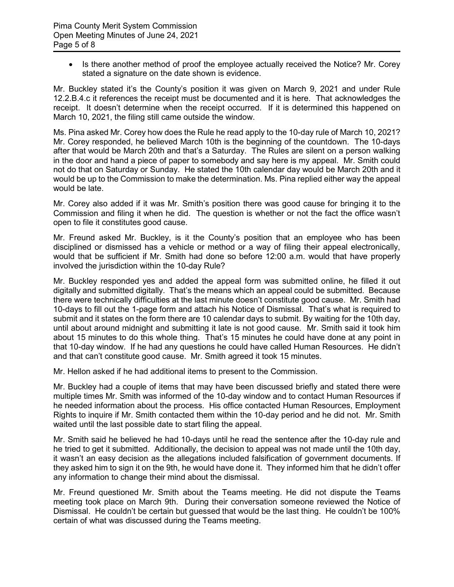• Is there another method of proof the employee actually received the Notice? Mr. Corey stated a signature on the date shown is evidence.

Mr. Buckley stated it's the County's position it was given on March 9, 2021 and under Rule 12.2.B.4.c it references the receipt must be documented and it is here. That acknowledges the receipt. It doesn't determine when the receipt occurred. If it is determined this happened on March 10, 2021, the filing still came outside the window.

Ms. Pina asked Mr. Corey how does the Rule he read apply to the 10-day rule of March 10, 2021? Mr. Corey responded, he believed March 10th is the beginning of the countdown. The 10-days after that would be March 20th and that's a Saturday. The Rules are silent on a person walking in the door and hand a piece of paper to somebody and say here is my appeal. Mr. Smith could not do that on Saturday or Sunday. He stated the 10th calendar day would be March 20th and it would be up to the Commission to make the determination. Ms. Pina replied either way the appeal would be late.

Mr. Corey also added if it was Mr. Smith's position there was good cause for bringing it to the Commission and filing it when he did. The question is whether or not the fact the office wasn't open to file it constitutes good cause.

Mr. Freund asked Mr. Buckley, is it the County's position that an employee who has been disciplined or dismissed has a vehicle or method or a way of filing their appeal electronically, would that be sufficient if Mr. Smith had done so before 12:00 a.m. would that have properly involved the jurisdiction within the 10-day Rule?

Mr. Buckley responded yes and added the appeal form was submitted online, he filled it out digitally and submitted digitally. That's the means which an appeal could be submitted. Because there were technically difficulties at the last minute doesn't constitute good cause. Mr. Smith had 10-days to fill out the 1-page form and attach his Notice of Dismissal. That's what is required to submit and it states on the form there are 10 calendar days to submit. By waiting for the 10th day, until about around midnight and submitting it late is not good cause. Mr. Smith said it took him about 15 minutes to do this whole thing. That's 15 minutes he could have done at any point in that 10-day window. If he had any questions he could have called Human Resources. He didn't and that can't constitute good cause. Mr. Smith agreed it took 15 minutes.

Mr. Hellon asked if he had additional items to present to the Commission.

Mr. Buckley had a couple of items that may have been discussed briefly and stated there were multiple times Mr. Smith was informed of the 10-day window and to contact Human Resources if he needed information about the process. His office contacted Human Resources, Employment Rights to inquire if Mr. Smith contacted them within the 10-day period and he did not. Mr. Smith waited until the last possible date to start filing the appeal.

Mr. Smith said he believed he had 10-days until he read the sentence after the 10-day rule and he tried to get it submitted. Additionally, the decision to appeal was not made until the 10th day, it wasn't an easy decision as the allegations included falsification of government documents. If they asked him to sign it on the 9th, he would have done it. They informed him that he didn't offer any information to change their mind about the dismissal.

Mr. Freund questioned Mr. Smith about the Teams meeting. He did not dispute the Teams meeting took place on March 9th. During their conversation someone reviewed the Notice of Dismissal. He couldn't be certain but guessed that would be the last thing. He couldn't be 100% certain of what was discussed during the Teams meeting.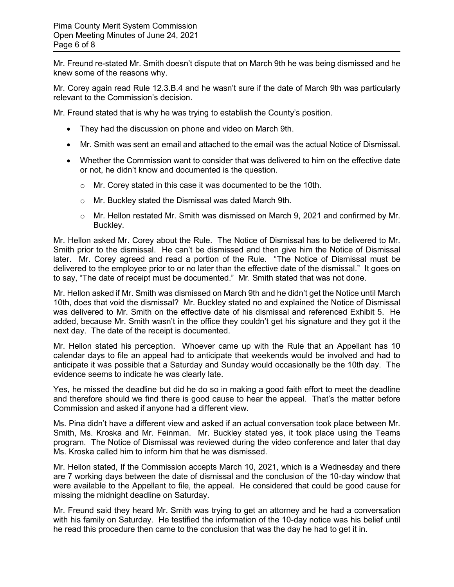Mr. Freund re-stated Mr. Smith doesn't dispute that on March 9th he was being dismissed and he knew some of the reasons why.

Mr. Corey again read Rule 12.3.B.4 and he wasn't sure if the date of March 9th was particularly relevant to the Commission's decision.

Mr. Freund stated that is why he was trying to establish the County's position.

- They had the discussion on phone and video on March 9th.
- Mr. Smith was sent an email and attached to the email was the actual Notice of Dismissal.
- Whether the Commission want to consider that was delivered to him on the effective date or not, he didn't know and documented is the question.
	- o Mr. Corey stated in this case it was documented to be the 10th.
	- o Mr. Buckley stated the Dismissal was dated March 9th.
	- o Mr. Hellon restated Mr. Smith was dismissed on March 9, 2021 and confirmed by Mr. Buckley.

Mr. Hellon asked Mr. Corey about the Rule. The Notice of Dismissal has to be delivered to Mr. Smith prior to the dismissal. He can't be dismissed and then give him the Notice of Dismissal later. Mr. Corey agreed and read a portion of the Rule. "The Notice of Dismissal must be delivered to the employee prior to or no later than the effective date of the dismissal." It goes on to say, "The date of receipt must be documented." Mr. Smith stated that was not done.

Mr. Hellon asked if Mr. Smith was dismissed on March 9th and he didn't get the Notice until March 10th, does that void the dismissal? Mr. Buckley stated no and explained the Notice of Dismissal was delivered to Mr. Smith on the effective date of his dismissal and referenced Exhibit 5. He added, because Mr. Smith wasn't in the office they couldn't get his signature and they got it the next day. The date of the receipt is documented.

Mr. Hellon stated his perception. Whoever came up with the Rule that an Appellant has 10 calendar days to file an appeal had to anticipate that weekends would be involved and had to anticipate it was possible that a Saturday and Sunday would occasionally be the 10th day. The evidence seems to indicate he was clearly late.

Yes, he missed the deadline but did he do so in making a good faith effort to meet the deadline and therefore should we find there is good cause to hear the appeal. That's the matter before Commission and asked if anyone had a different view.

Ms. Pina didn't have a different view and asked if an actual conversation took place between Mr. Smith, Ms. Kroska and Mr. Feinman. Mr. Buckley stated yes, it took place using the Teams program. The Notice of Dismissal was reviewed during the video conference and later that day Ms. Kroska called him to inform him that he was dismissed.

Mr. Hellon stated, If the Commission accepts March 10, 2021, which is a Wednesday and there are 7 working days between the date of dismissal and the conclusion of the 10-day window that were available to the Appellant to file, the appeal. He considered that could be good cause for missing the midnight deadline on Saturday.

Mr. Freund said they heard Mr. Smith was trying to get an attorney and he had a conversation with his family on Saturday. He testified the information of the 10-day notice was his belief until he read this procedure then came to the conclusion that was the day he had to get it in.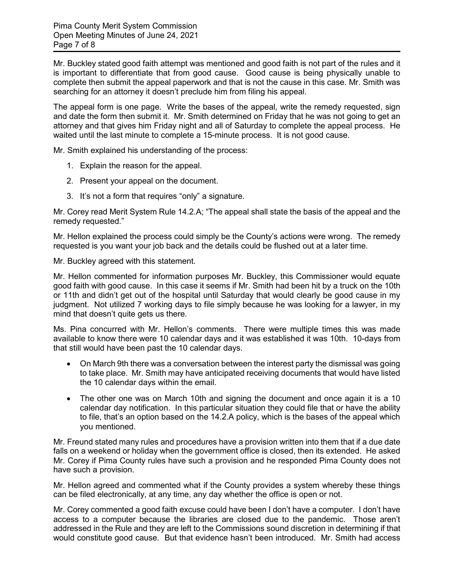Mr. Buckley stated good faith attempt was mentioned and good faith is not part of the rules and it is important to differentiate that from good cause. Good cause is being physically unable to complete then submit the appeal paperwork and that is not the cause in this case. Mr. Smith was searching for an attorney it doesn't preclude him from filing his appeal.

The appeal form is one page. Write the bases of the appeal, write the remedy requested, sign and date the form then submit it. Mr. Smith determined on Friday that he was not going to get an attorney and that gives him Friday night and all of Saturday to complete the appeal process. He waited until the last minute to complete a 15-minute process. It is not good cause.

Mr. Smith explained his understanding of the process:

- 1. Explain the reason for the appeal.
- 2. Present your appeal on the document.
- 3. It's not a form that requires "only" a signature.

Mr. Corey read Merit System Rule 14.2.A; "The appeal shall state the basis of the appeal and the remedy requested."

Mr. Hellon explained the process could simply be the County's actions were wrong. The remedy requested is you want your job back and the details could be flushed out at a later time.

Mr. Buckley agreed with this statement.

Mr. Hellon commented for information purposes Mr. Buckley, this Commissioner would equate good faith with good cause. In this case it seems if Mr. Smith had been hit by a truck on the 10th or 11th and didn't get out of the hospital until Saturday that would clearly be good cause in my judgment. Not utilized 7 working days to file simply because he was looking for a lawyer, in my mind that doesn't quite gets us there.

Ms. Pina concurred with Mr. Hellon's comments. There were multiple times this was made available to know there were 10 calendar days and it was established it was 10th. 10-days from that still would have been past the 10 calendar days.

- On March 9th there was a conversation between the interest party the dismissal was going to take place. Mr. Smith may have anticipated receiving documents that would have listed the 10 calendar days within the email.
- The other one was on March 10th and signing the document and once again it is a 10 calendar day notification. In this particular situation they could file that or have the ability to file, that's an option based on the 14.2.A policy, which is the bases of the appeal which you mentioned.

Mr. Freund stated many rules and procedures have a provision written into them that if a due date falls on a weekend or holiday when the government office is closed, then its extended. He asked Mr. Corey if Pima County rules have such a provision and he responded Pima County does not have such a provision.

Mr. Hellon agreed and commented what if the County provides a system whereby these things can be filed electronically, at any time, any day whether the office is open or not.

Mr. Corey commented a good faith excuse could have been I don't have a computer. I don't have access to a computer because the libraries are closed due to the pandemic. Those aren't addressed in the Rule and they are left to the Commissions sound discretion in determining if that would constitute good cause. But that evidence hasn't been introduced. Mr. Smith had access